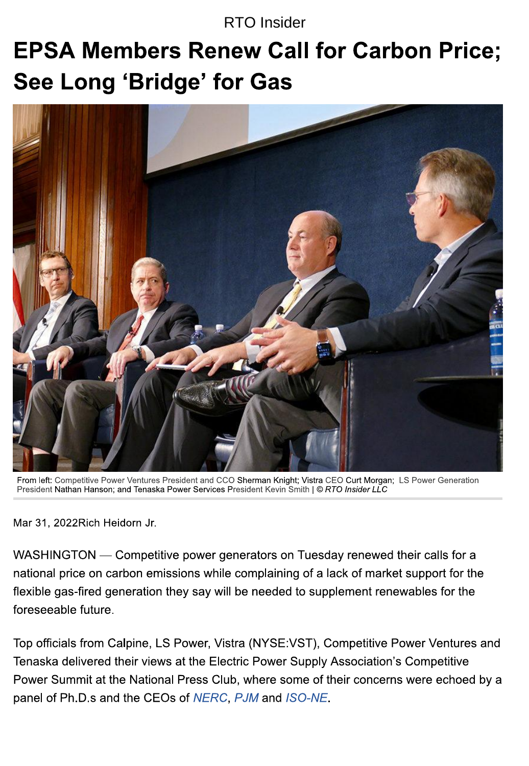#### **RTO** Insider

# **EPSA Members Renew Call for Carbon Price;** See Long 'Bridge' for Gas



From left: Competitive Power Ventures President and CCO Sherman Knight; Vistra CEO Curt Morgan; LS Power Generation President Nathan Hanson; and Tenaska Power Services President Kevin Smith | © RTO Insider LLC

Mar 31, 2022 Rich Heidorn Jr.

WASHINGTON — Competitive power generators on Tuesday renewed their calls for a national price on carbon emissions while complaining of a lack of market support for the flexible gas-fired generation they say will be needed to supplement renewables for the foreseeable future.

Top officials from Calpine, LS Power, Vistra (NYSE:VST), Competitive Power Ventures and Tenaska delivered their views at the Electric Power Supply Association's Competitive Power Summit at the National Press Club, where some of their concerns were echoed by a panel of Ph.D.s and the CEOs of NERC, PJM and ISO-NE.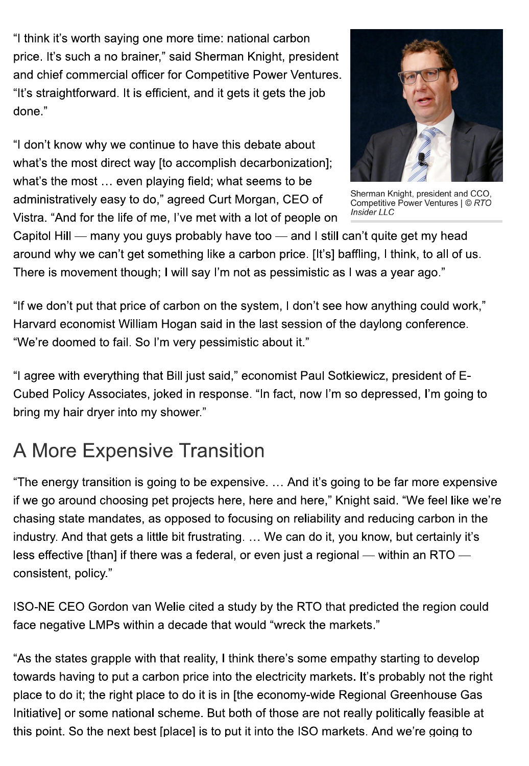"I think it's worth saying one more time: national carbon price. It's such a no brainer," said Sherman Knight, president and chief commercial officer for Competitive Power Ventures. "It's straightforward. It is efficient, and it gets it gets the job done."

"I don't know why we continue to have this debate about what's the most direct way [to accomplish decarbonization]; what's the most ... even playing field; what seems to be administratively easy to do," agreed Curt Morgan, CEO of Vistra. "And for the life of me, I've met with a lot of people on



Sherman Knight, president and CCO, Competitive Power Ventures | © RTO Insider LLC

Capitol Hill — many you guys probably have too — and I still can't quite get my head around why we can't get something like a carbon price. [It's] baffling, I think, to all of us. There is movement though; I will say I'm not as pessimistic as I was a year ago."

"If we don't put that price of carbon on the system, I don't see how anything could work," Harvard economist William Hogan said in the last session of the daylong conference. "We're doomed to fail. So I'm very pessimistic about it."

"I agree with everything that Bill just said," economist Paul Sotkiewicz, president of E-Cubed Policy Associates, joked in response. "In fact, now I'm so depressed, I'm going to bring my hair dryer into my shower."

## **A More Expensive Transition**

"The energy transition is going to be expensive. ... And it's going to be far more expensive if we go around choosing pet projects here, here and here," Knight said. "We feel like we're chasing state mandates, as opposed to focusing on reliability and reducing carbon in the industry. And that gets a little bit frustrating. ... We can do it, you know, but certainly it's less effective [than] if there was a federal, or even just a regional — within an RTO consistent, policy."

ISO-NE CEO Gordon van Welie cited a study by the RTO that predicted the region could face negative LMPs within a decade that would "wreck the markets."

"As the states grapple with that reality, I think there's some empathy starting to develop towards having to put a carbon price into the electricity markets. It's probably not the right place to do it; the right place to do it is in [the economy-wide Regional Greenhouse Gas Initiative] or some national scheme. But both of those are not really politically feasible at this point. So the next best [place] is to put it into the ISO markets. And we're going to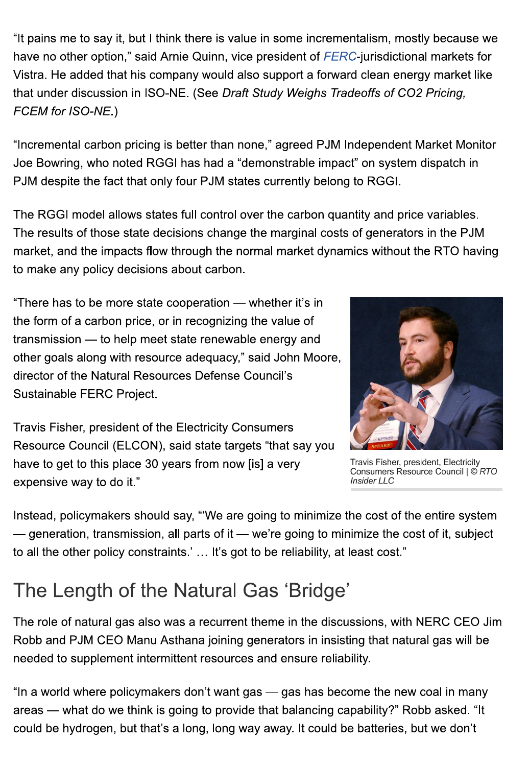"It pains me to say it, but I think there is value in some incrementalism, mostly because we have no other option," said Arnie Quinn, vice president of FERC-jurisdictional markets for Vistra. He added that his company would also support a forward clean energy market like that under discussion in ISO-NE. (See Draft Study Weighs Tradeoffs of CO2 Pricing, FCEM for ISO-NE.)

"Incremental carbon pricing is better than none," agreed PJM Independent Market Monitor Joe Bowring, who noted RGGI has had a "demonstrable impact" on system dispatch in PJM despite the fact that only four PJM states currently belong to RGGI.

The RGGI model allows states full control over the carbon quantity and price variables. The results of those state decisions change the marginal costs of generators in the PJM market, and the impacts flow through the normal market dynamics without the RTO having to make any policy decisions about carbon.

"There has to be more state cooperation — whether it's in the form of a carbon price, or in recognizing the value of transmission — to help meet state renewable energy and other goals along with resource adequacy," said John Moore, director of the Natural Resources Defense Council's Sustainable FERC Project.



Travis Fisher, president of the Electricity Consumers Resource Council (ELCON), said state targets "that say you have to get to this place 30 years from now [is] a very expensive way to do it."

Travis Fisher, president, Electricity Consumers Resource Council | © RTO **Insider LLC** 

Instead, policymakers should say, "'We are going to minimize the cost of the entire system — generation, transmission, all parts of it — we're going to minimize the cost of it, subject to all the other policy constraints.' ... It's got to be reliability, at least cost."

## The Length of the Natural Gas 'Bridge'

The role of natural gas also was a recurrent theme in the discussions, with NERC CEO Jim Robb and PJM CEO Manu Asthana joining generators in insisting that natural gas will be needed to supplement intermittent resources and ensure reliability.

"In a world where policymakers don't want gas — gas has become the new coal in many areas — what do we think is going to provide that balancing capability?" Robb asked. "It could be hydrogen, but that's a long, long way away. It could be batteries, but we don't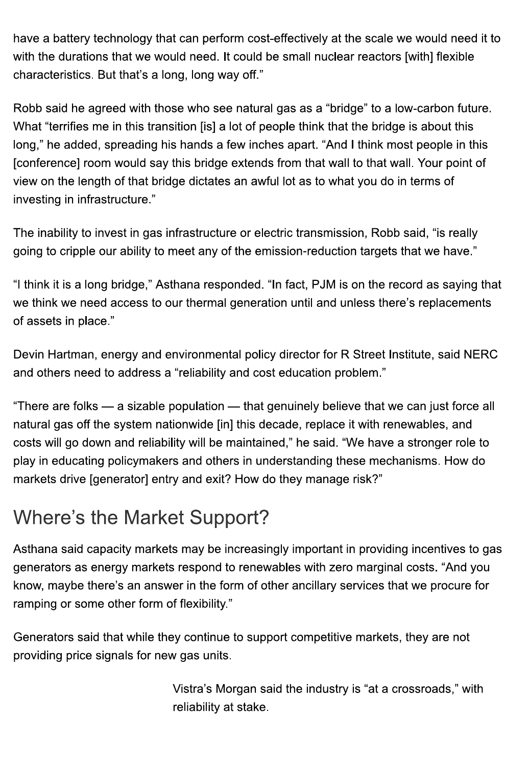have a battery technology that can perform cost-effectively at the scale we would need it to with the durations that we would need. It could be small nuclear reactors [with] flexible characteristics. But that's a long, long way off."

Robb said he agreed with those who see natural gas as a "bridge" to a low-carbon future. What "terrifies me in this transition [is] a lot of people think that the bridge is about this long," he added, spreading his hands a few inches apart. "And I think most people in this [conference] room would say this bridge extends from that wall to that wall. Your point of view on the length of that bridge dictates an awful lot as to what you do in terms of investing in infrastructure."

The inability to invest in gas infrastructure or electric transmission, Robb said, "is really going to cripple our ability to meet any of the emission-reduction targets that we have."

"I think it is a long bridge," Asthana responded. "In fact, PJM is on the record as saying that we think we need access to our thermal generation until and unless there's replacements of assets in place."

Devin Hartman, energy and environmental policy director for R Street Institute, said NERC and others need to address a "reliability and cost education problem."

"There are folks — a sizable population — that genuinely believe that we can just force all natural gas off the system nationwide [in] this decade, replace it with renewables, and costs will go down and reliability will be maintained," he said. "We have a stronger role to play in educating policymakers and others in understanding these mechanisms. How do markets drive [generator] entry and exit? How do they manage risk?"

#### **Where's the Market Support?**

Asthana said capacity markets may be increasingly important in providing incentives to gas generators as energy markets respond to renewables with zero marginal costs. "And you know, maybe there's an answer in the form of other ancillary services that we procure for ramping or some other form of flexibility."

Generators said that while they continue to support competitive markets, they are not providing price signals for new gas units.

> Vistra's Morgan said the industry is "at a crossroads," with reliability at stake.